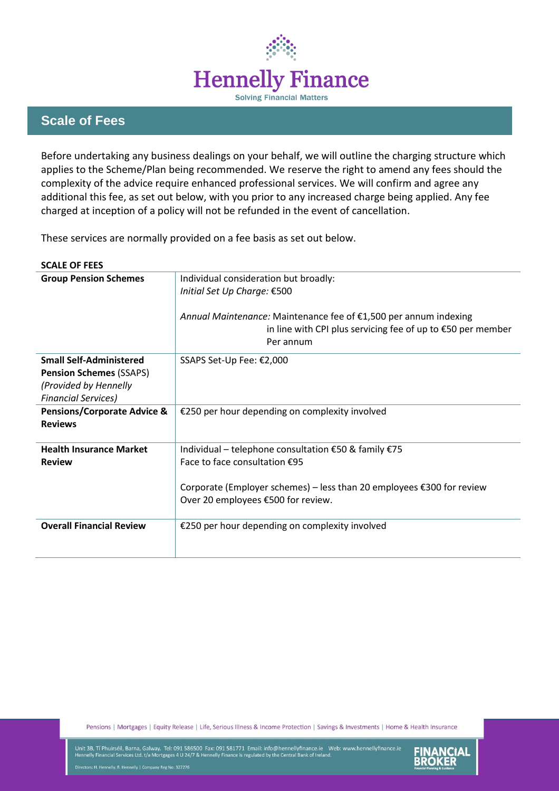

## **Scale of Fees**

Before undertaking any business dealings on your behalf, we will outline the charging structure which applies to the Scheme/Plan being recommended. We reserve the right to amend any fees should the complexity of the advice require enhanced professional services. We will confirm and agree any additional this fee, as set out below, with you prior to any increased charge being applied. Any fee charged at inception of a policy will not be refunded in the event of cancellation.

These services are normally provided on a fee basis as set out below.

| <b>SCALE OF FEES</b>                   |                                                                                                                                 |  |
|----------------------------------------|---------------------------------------------------------------------------------------------------------------------------------|--|
| <b>Group Pension Schemes</b>           | Individual consideration but broadly:<br>Initial Set Up Charge: €500                                                            |  |
|                                        |                                                                                                                                 |  |
|                                        | Annual Maintenance: Maintenance fee of €1,500 per annum indexing<br>in line with CPI plus servicing fee of up to €50 per member |  |
|                                        | Per annum                                                                                                                       |  |
| <b>Small Self-Administered</b>         | SSAPS Set-Up Fee: €2,000                                                                                                        |  |
| <b>Pension Schemes (SSAPS)</b>         |                                                                                                                                 |  |
| (Provided by Hennelly                  |                                                                                                                                 |  |
| <b>Financial Services)</b>             |                                                                                                                                 |  |
| <b>Pensions/Corporate Advice &amp;</b> | €250 per hour depending on complexity involved                                                                                  |  |
| <b>Reviews</b>                         |                                                                                                                                 |  |
| <b>Health Insurance Market</b>         | Individual – telephone consultation €50 & family €75                                                                            |  |
| <b>Review</b>                          | Face to face consultation $£95$                                                                                                 |  |
|                                        | Corporate (Employer schemes) – less than 20 employees €300 for review                                                           |  |
|                                        | Over 20 employees €500 for review.                                                                                              |  |
| <b>Overall Financial Review</b>        | €250 per hour depending on complexity involved                                                                                  |  |
|                                        |                                                                                                                                 |  |

Pensions | Mortgages | Equity Release | Life, Serious Illness & Income Protection | Savings & Investments | Home & Health Insurance

Unit 3B, Tí Phuirséil, Barna, Galway. Tel: 091 586500 Fax: 091 581771 Email: info@hennellyfinance.ie Web: www.hennellyfinance.ie<br>Hennelly Financial Services Ltd. t/a Mortgages 4 U 24/7 & Hennelly Finance is regulated by th